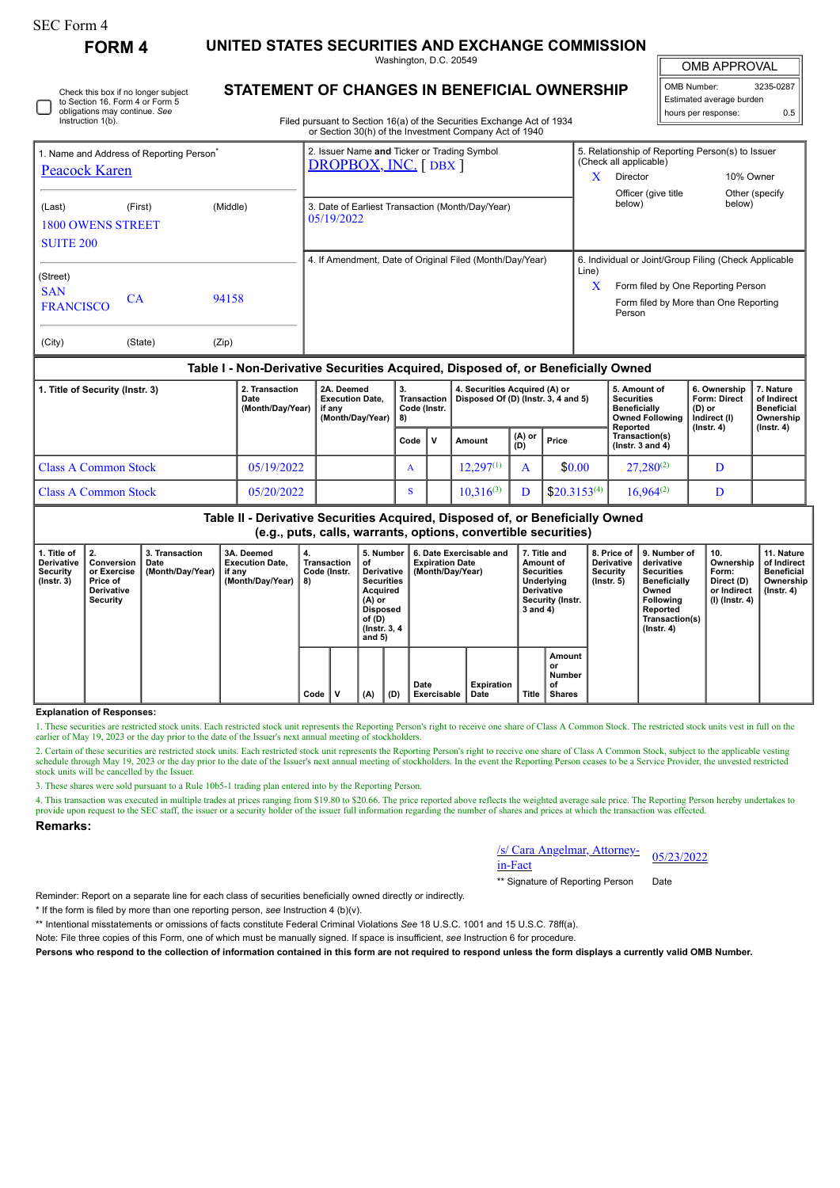Instruction 1(b).

Check this box if no longer subject to Section 16. Form 4 or Form 5 obligations may continue. *See*

**FORM 4 UNITED STATES SECURITIES AND EXCHANGE COMMISSION**

Washington, D.C. 20549 **STATEMENT OF CHANGES IN BENEFICIAL OWNERSHIP**

OMB APPROVAL

| OMB Number:<br>3235-0287 |     |  |  |  |  |  |  |
|--------------------------|-----|--|--|--|--|--|--|
| Estimated average burden |     |  |  |  |  |  |  |
| hours per response:      | 0.5 |  |  |  |  |  |  |

Filed pursuant to Section 16(a) of the Securities Exchange Act of 1934 or Section 30(h) of the Investment Company Act of 1940

| 1. Name and Address of Reporting Person <sup>®</sup><br>Peacock Karen |         |          | 2. Issuer Name and Ticker or Trading Symbol<br>DROPBOX, INC. [DBX] |            | 5. Relationship of Reporting Person(s) to Issuer<br>(Check all applicable)                                                                     |                          |  |  |  |
|-----------------------------------------------------------------------|---------|----------|--------------------------------------------------------------------|------------|------------------------------------------------------------------------------------------------------------------------------------------------|--------------------------|--|--|--|
|                                                                       |         |          |                                                                    | x          | Director                                                                                                                                       | 10% Owner                |  |  |  |
| (Last)<br><b>1800 OWENS STREET</b><br><b>SUITE 200</b>                | (First) | (Middle) | 3. Date of Earliest Transaction (Month/Day/Year)<br>05/19/2022     |            | Officer (give title<br>below)                                                                                                                  | Other (specify<br>below) |  |  |  |
| (Street)<br><b>SAN</b><br><b>FRANCISCO</b>                            | CA      | 94158    | 4. If Amendment, Date of Original Filed (Month/Day/Year)           | Line)<br>X | 6. Individual or Joint/Group Filing (Check Applicable<br>Form filed by One Reporting Person<br>Form filed by More than One Reporting<br>Person |                          |  |  |  |
| (City)                                                                | (State) | (Zip)    |                                                                    |            |                                                                                                                                                |                          |  |  |  |

## **Table I - Non-Derivative Securities Acquired, Disposed of, or Beneficially Owned**

| 1. Title of Security (Instr. 3) | 2. Transaction<br>Date<br>(Month/Day/Year) | 2A. Deemed<br><b>Execution Date.</b><br>if anv<br>(Month/Day/Year) $  8$ ) | З.<br>Transaction<br>Code (Instr. |  | 4. Securities Acquired (A) or<br>Disposed Of (D) (Instr. 3, 4 and 5) |   |                                        | 5. Amount of<br><b>Securities</b><br><b>Beneficially</b><br><b>Owned Following</b><br>Reported | 6. Ownership<br><b>Form: Direct</b><br>(D) or<br>Indirect (I)<br>$($ lnstr. 4 $)$ | 7. Nature<br>of Indirect<br><b>Beneficial</b><br>Ownership<br>$($ lnstr. 4 $)$ |
|---------------------------------|--------------------------------------------|----------------------------------------------------------------------------|-----------------------------------|--|----------------------------------------------------------------------|---|----------------------------------------|------------------------------------------------------------------------------------------------|-----------------------------------------------------------------------------------|--------------------------------------------------------------------------------|
|                                 |                                            |                                                                            | Code I                            |  | $(A)$ or $ $<br>Price<br>Amount<br>(D)                               |   | Transaction(s)<br>( $lnstr. 3 and 4$ ) |                                                                                                |                                                                                   |                                                                                |
| Class A Common Stock            | 05/19/2022                                 |                                                                            | A                                 |  | $12.297^{(1)}$                                                       | A | \$0.00                                 | $27.280^{(2)}$                                                                                 |                                                                                   |                                                                                |
| Class A Common Stock            | 05/20/2022                                 |                                                                            | S                                 |  | $10,316^{(3)}$                                                       |   | $$20.3153^{(4)}$                       | $16.964^{(2)}$                                                                                 |                                                                                   |                                                                                |

**Table II - Derivative Securities Acquired, Disposed of, or Beneficially Owned (e.g., puts, calls, warrants, options, convertible securities)**

| 1. Title of<br>Derivative<br>Security<br>$($ lnstr. 3 $)$ | -2.<br>Conversion<br>or Exercise<br>Price of<br><b>Derivative</b><br>Security | 3. Transaction<br>Date<br>(Month/Day/Year) | 3A. Deemed<br><b>Execution Date.</b><br>if any<br>(Month/Day/Year) | 4.<br>Transaction<br>Code (Instr.<br>8) |  | 5. Number<br>οt<br>Derivative<br><b>Securities</b><br>Acquired<br>(A) or<br>Disposed<br>of (D)<br>(Instr. 3, 4)<br>and $5)$ |     | 6. Date Exercisable and<br><b>Expiration Date</b><br>(Month/Day/Year) |                    | 7. Title and<br>Amount of<br><b>Securities</b><br>Underlying<br><b>Derivative</b><br>Security (Instr.<br>3 and 4) |                                               | 8. Price of I<br><b>Derivative</b><br>Security<br>$($ lnstr. 5 $)$ | 9. Number of<br>derivative<br><b>Securities</b><br><b>Beneficially</b><br>Owned<br><b>Following</b><br>Reported<br>Transaction(s)<br>$($ Instr. 4 $)$ | 10.<br>Ownership<br>Form:<br>Direct (D)<br>or Indirect<br>  (I) (Instr. 4) | 11. Nature<br>of Indirect<br><b>Beneficial</b><br>Ownership<br>$($ lnstr. 4 $)$ |
|-----------------------------------------------------------|-------------------------------------------------------------------------------|--------------------------------------------|--------------------------------------------------------------------|-----------------------------------------|--|-----------------------------------------------------------------------------------------------------------------------------|-----|-----------------------------------------------------------------------|--------------------|-------------------------------------------------------------------------------------------------------------------|-----------------------------------------------|--------------------------------------------------------------------|-------------------------------------------------------------------------------------------------------------------------------------------------------|----------------------------------------------------------------------------|---------------------------------------------------------------------------------|
|                                                           |                                                                               |                                            |                                                                    | Code                                    |  | (A)                                                                                                                         | (D) | Date<br><b>Exercisable</b>                                            | Expiration<br>Date | <b>Title</b>                                                                                                      | Amount<br>or<br>Number<br>of<br><b>Shares</b> |                                                                    |                                                                                                                                                       |                                                                            |                                                                                 |

#### **Explanation of Responses:**

1. These securities are restricted stock units. Each restricted stock unit represents the Reporting Person's right to receive one share of Class A Common Stock. The restricted stock units vest in full on the earlier of May 19, 2023 or the day prior to the date of the Issuer's next annual meeting of stockholders.

2. Certain of these securities are restricted stock units. Each restricted stock unit represents the Reporting Person's right to receive one share of Class A Common Stock, subject to the applicable vesting<br>schedule through stock units will be cancelled by the Issuer

3. These shares were sold pursuant to a Rule 10b5-1 trading plan entered into by the Reporting Person.

4. This transaction was executed in multiple trades at prices ranging from \$19.80 to \$20.66. The price reported above reflects the weighted average sale price. The Reporting Person hereby undertakes to provide upon request to the SEC staff, the issuer or a security holder of the issuer full information regarding the number of shares and prices at which the transaction was effected.

### **Remarks:**

# /s/ Cara Angelmar, Attorney-in-Fact 05/23/2022

\*\* Signature of Reporting Person Date

Reminder: Report on a separate line for each class of securities beneficially owned directly or indirectly.

\* If the form is filed by more than one reporting person, *see* Instruction 4 (b)(v).

\*\* Intentional misstatements or omissions of facts constitute Federal Criminal Violations *See* 18 U.S.C. 1001 and 15 U.S.C. 78ff(a).

Note: File three copies of this Form, one of which must be manually signed. If space is insufficient, *see* Instruction 6 for procedure.

**Persons who respond to the collection of information contained in this form are not required to respond unless the form displays a currently valid OMB Number.**